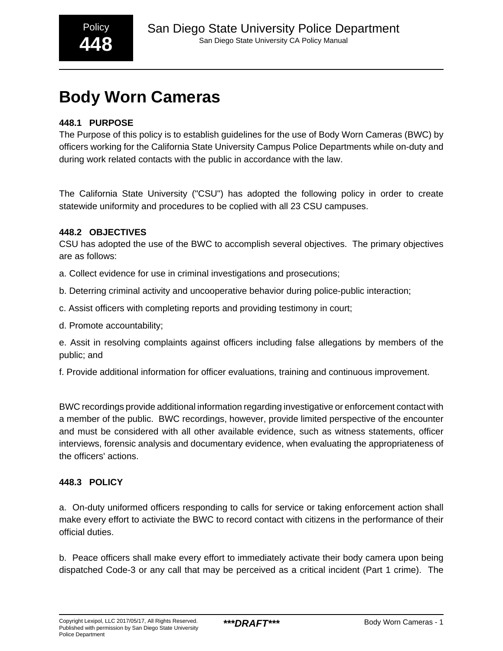## **448.1 PURPOSE**

The Purpose of this policy is to establish guidelines for the use of Body Worn Cameras (BWC) by officers working for the California State University Campus Police Departments while on-duty and during work related contacts with the public in accordance with the law.

The California State University ("CSU") has adopted the following policy in order to create statewide uniformity and procedures to be coplied with all 23 CSU campuses.

#### **448.2 OBJECTIVES**

CSU has adopted the use of the BWC to accomplish several objectives. The primary objectives are as follows:

- a. Collect evidence for use in criminal investigations and prosecutions;
- b. Deterring criminal activity and uncooperative behavior during police-public interaction;
- c. Assist officers with completing reports and providing testimony in court;
- d. Promote accountability;

e. Assit in resolving complaints against officers including false allegations by members of the public; and

f. Provide additional information for officer evaluations, training and continuous improvement.

BWC recordings provide additional information regarding investigative or enforcement contact with a member of the public. BWC recordings, however, provide limited perspective of the encounter and must be considered with all other available evidence, such as witness statements, officer interviews, forensic analysis and documentary evidence, when evaluating the appropriateness of the officers' actions.

#### **448.3 POLICY**

a. On-duty uniformed officers responding to calls for service or taking enforcement action shall make every effort to activiate the BWC to record contact with citizens in the performance of their official duties.

b. Peace officers shall make every effort to immediately activate their body camera upon being dispatched Code-3 or any call that may be perceived as a critical incident (Part 1 crime). The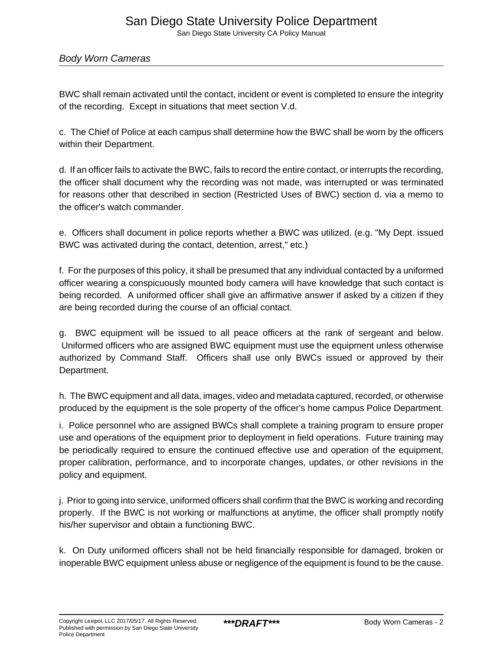# San Diego State University Police Department

San Diego State University CA Policy Manual

#### Body Worn Cameras

BWC shall remain activated until the contact, incident or event is completed to ensure the integrity of the recording. Except in situations that meet section V.d.

c. The Chief of Police at each campus shall determine how the BWC shall be worn by the officers within their Department.

d. If an officer fails to activate the BWC, fails to record the entire contact, or interrupts the recording, the officer shall document why the recording was not made, was interrupted or was terminated for reasons other that described in section (Restricted Uses of BWC) section d. via a memo to the officer's watch commander.

e. Officers shall document in police reports whether a BWC was utilized. (e.g. "My Dept. issued BWC was activated during the contact, detention, arrest," etc.)

f. For the purposes of this policy, it shall be presumed that any individual contacted by a uniformed officer wearing a conspicuously mounted body camera will have knowledge that such contact is being recorded. A uniformed officer shall give an affirmative answer if asked by a citizen if they are being recorded during the course of an official contact.

g. BWC equipment will be issued to all peace officers at the rank of sergeant and below. Uniformed officers who are assigned BWC equipment must use the equipment unless otherwise authorized by Command Staff. Officers shall use only BWCs issued or approved by their Department.

h. The BWC equipment and all data, images, video and metadata captured, recorded, or otherwise produced by the equipment is the sole property of the officer's home campus Police Department.

i. Police personnel who are assigned BWCs shall complete a training program to ensure proper use and operations of the equipment prior to deployment in field operations. Future training may be periodically required to ensure the continued effective use and operation of the equipment, proper calibration, performance, and to incorporate changes, updates, or other revisions in the policy and equipment.

j. Prior to going into service, uniformed officers shall confirm that the BWC is working and recording properly. If the BWC is not working or malfunctions at anytime, the officer shall promptly notify his/her supervisor and obtain a functioning BWC.

k. On Duty uniformed officers shall not be held financially responsible for damaged, broken or inoperable BWC equipment unless abuse or negligence of the equipment is found to be the cause.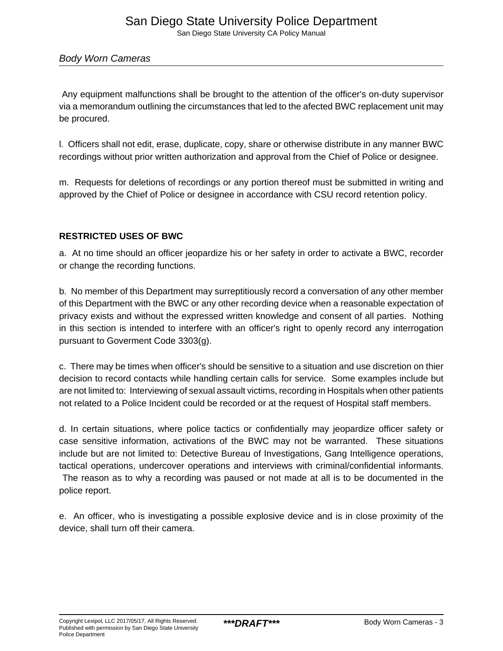Any equipment malfunctions shall be brought to the attention of the officer's on-duty supervisor via a memorandum outlining the circumstances that led to the afected BWC replacement unit may be procured.

l. Officers shall not edit, erase, duplicate, copy, share or otherwise distribute in any manner BWC recordings without prior written authorization and approval from the Chief of Police or designee.

m. Requests for deletions of recordings or any portion thereof must be submitted in writing and approved by the Chief of Police or designee in accordance with CSU record retention policy.

### **RESTRICTED USES OF BWC**

a. At no time should an officer jeopardize his or her safety in order to activate a BWC, recorder or change the recording functions.

b. No member of this Department may surreptitiously record a conversation of any other member of this Department with the BWC or any other recording device when a reasonable expectation of privacy exists and without the expressed written knowledge and consent of all parties. Nothing in this section is intended to interfere with an officer's right to openly record any interrogation pursuant to Goverment Code 3303(g).

c. There may be times when officer's should be sensitive to a situation and use discretion on thier decision to record contacts while handling certain calls for service. Some examples include but are not limited to: Interviewing of sexual assault victims, recording in Hospitals when other patients not related to a Police Incident could be recorded or at the request of Hospital staff members.

d. In certain situations, where police tactics or confidentially may jeopardize officer safety or case sensitive information, activations of the BWC may not be warranted. These situations include but are not limited to: Detective Bureau of Investigations, Gang Intelligence operations, tactical operations, undercover operations and interviews with criminal/confidential informants.

 The reason as to why a recording was paused or not made at all is to be documented in the police report.

e. An officer, who is investigating a possible explosive device and is in close proximity of the device, shall turn off their camera.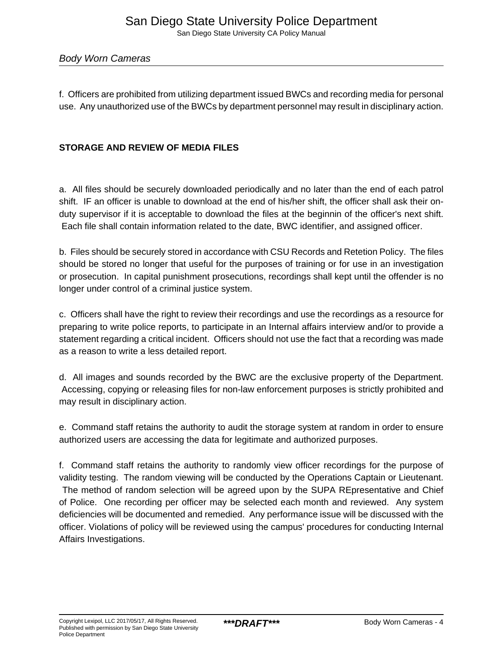f. Officers are prohibited from utilizing department issued BWCs and recording media for personal use. Any unauthorized use of the BWCs by department personnel may result in disciplinary action.

#### **STORAGE AND REVIEW OF MEDIA FILES**

a. All files should be securely downloaded periodically and no later than the end of each patrol shift. IF an officer is unable to download at the end of his/her shift, the officer shall ask their onduty supervisor if it is acceptable to download the files at the beginnin of the officer's next shift. Each file shall contain information related to the date, BWC identifier, and assigned officer.

b. Files should be securely stored in accordance with CSU Records and Retetion Policy. The files should be stored no longer that useful for the purposes of training or for use in an investigation or prosecution. In capital punishment prosecutions, recordings shall kept until the offender is no longer under control of a criminal justice system.

c. Officers shall have the right to review their recordings and use the recordings as a resource for preparing to write police reports, to participate in an Internal affairs interview and/or to provide a statement regarding a critical incident. Officers should not use the fact that a recording was made as a reason to write a less detailed report.

d. All images and sounds recorded by the BWC are the exclusive property of the Department. Accessing, copying or releasing files for non-law enforcement purposes is strictly prohibited and may result in disciplinary action.

e. Command staff retains the authority to audit the storage system at random in order to ensure authorized users are accessing the data for legitimate and authorized purposes.

f. Command staff retains the authority to randomly view officer recordings for the purpose of validity testing. The random viewing will be conducted by the Operations Captain or Lieutenant. The method of random selection will be agreed upon by the SUPA REpresentative and Chief of Police. One recording per officer may be selected each month and reviewed. Any system deficiencies will be documented and remedied. Any performance issue will be discussed with the officer. Violations of policy will be reviewed using the campus' procedures for conducting Internal Affairs Investigations.